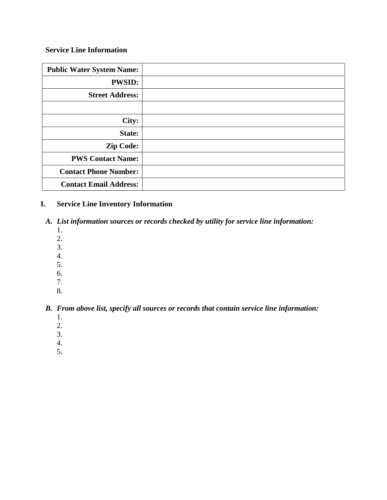## **Service Line Information**

| <b>Public Water System Name:</b> |  |
|----------------------------------|--|
| <b>PWSID:</b>                    |  |
| <b>Street Address:</b>           |  |
|                                  |  |
| City:                            |  |
| State:                           |  |
| <b>Zip Code:</b>                 |  |
| <b>PWS Contact Name:</b>         |  |
| <b>Contact Phone Number:</b>     |  |
| <b>Contact Email Address:</b>    |  |

## **I. Service Line Inventory Information**

- *A. List information sources or records checked by utility for service line information:*
	- 1.
	- 2.
	- 3.
	- 4.
	- 5.
	- 6.
	- 7.
	- 8.

# *B. From above list, specify all sources or records that contain service line information:*

- 1.
- 2.
- 3.
- 4.
- 5.